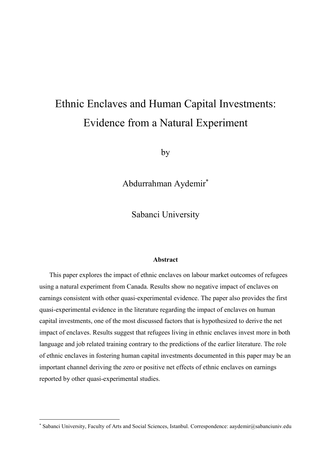## Ethnic Enclaves and Human Capital Investments: **Evidence from a Natural Experiment**

by

Abdurrahman Aydemir\*

Sabanci University

#### **Abstract**

This paper explores the impact of ethnic enclaves on labour market outcomes of refugees using a natural experiment from Canada. Results show no negative impact of enclaves on earnings consistent with other quasi-experimental evidence. The paper also provides the first quasi-experimental evidence in the literature regarding the impact of enclaves on human capital investments, one of the most discussed factors that is hypothesized to derive the net impact of enclaves. Results suggest that refugees living in ethnic enclaves invest more in both language and job related training contrary to the predictions of the earlier literature. The role of ethnic enclaves in fostering human capital investments documented in this paper may be an important channel deriving the zero or positive net effects of ethnic enclaves on earnings reported by other quasi-experimental studies.

<sup>\*</sup> Sabanci University, Faculty of Arts and Social Sciences, Istanbul. Correspondence: aaydemir@sabanciuniv.edu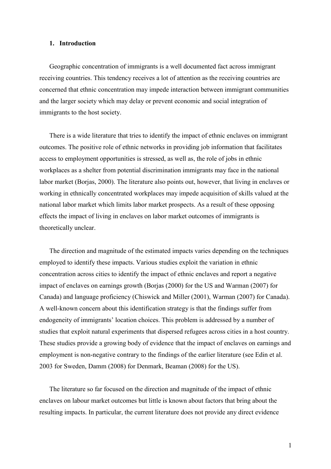#### 1. Introduction

Geographic concentration of immigrants is a well documented fact across immigrant receiving countries. This tendency receives a lot of attention as the receiving countries are concerned that ethnic concentration may impede interaction between immigrant communities and the larger society which may delay or prevent economic and social integration of immigrants to the host society.

There is a wide literature that tries to identify the impact of ethnic enclaves on immigrant outcomes. The positive role of ethnic networks in providing job information that facilitates access to employment opportunities is stressed, as well as, the role of jobs in ethnic workplaces as a shelter from potential discrimination immigrants may face in the national labor market (Borjas, 2000). The literature also points out, however, that living in enclaves or working in ethnically concentrated workplaces may impede acquisition of skills valued at the national labor market which limits labor market prospects. As a result of these opposing effects the impact of living in enclaves on labor market outcomes of immigrants is theoretically unclear.

The direction and magnitude of the estimated impacts varies depending on the techniques employed to identify these impacts. Various studies exploit the variation in ethnic concentration across cities to identify the impact of ethnic enclaves and report a negative impact of enclaves on earnings growth (Borias (2000) for the US and Warman (2007) for Canada) and language proficiency (Chiswick and Miller (2001), Warman (2007) for Canada). A well-known concern about this identification strategy is that the findings suffer from endogeneity of immigrants' location choices. This problem is addressed by a number of studies that exploit natural experiments that dispersed refugees across cities in a host country. These studies provide a growing body of evidence that the impact of enclaves on earnings and employment is non-negative contrary to the findings of the earlier literature (see Edin et al. 2003 for Sweden, Damm (2008) for Denmark, Beaman (2008) for the US).

The literature so far focused on the direction and magnitude of the impact of ethnic enclaves on labour market outcomes but little is known about factors that bring about the resulting impacts. In particular, the current literature does not provide any direct evidence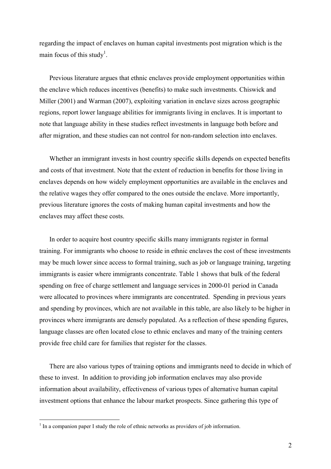regarding the impact of enclaves on human capital investments post migration which is the main focus of this study<sup>1</sup>.

Previous literature argues that ethnic enclaves provide employment opportunities within the enclave which reduces incentives (benefits) to make such investments. Chiswick and Miller (2001) and Warman (2007), exploiting variation in enclave sizes across geographic regions, report lower language abilities for immigrants living in enclaves. It is important to note that language ability in these studies reflect investments in language both before and after migration, and these studies can not control for non-random selection into enclaves.

Whether an immigrant invests in host country specific skills depends on expected benefits and costs of that investment. Note that the extent of reduction in benefits for those living in enclaves depends on how widely employment opportunities are available in the enclaves and the relative wages they offer compared to the ones outside the enclave. More importantly, previous literature ignores the costs of making human capital investments and how the enclaves may affect these costs.

In order to acquire host country specific skills many immigrants register in formal training. For immigrants who choose to reside in ethnic enclaves the cost of these investments may be much lower since access to formal training, such as job or language training, targeting immigrants is easier where immigrants concentrate. Table 1 shows that bulk of the federal spending on free of charge settlement and language services in 2000-01 period in Canada were allocated to provinces where immigrants are concentrated. Spending in previous years and spending by provinces, which are not available in this table, are also likely to be higher in provinces where immigrants are densely populated. As a reflection of these spending figures, language classes are often located close to ethnic enclaves and many of the training centers provide free child care for families that register for the classes.

There are also various types of training options and immigrants need to decide in which of these to invest. In addition to providing job information enclaves may also provide information about availability, effectiveness of various types of alternative human capital investment options that enhance the labour market prospects. Since gathering this type of

 $1$  In a companion paper I study the role of ethnic networks as providers of job information.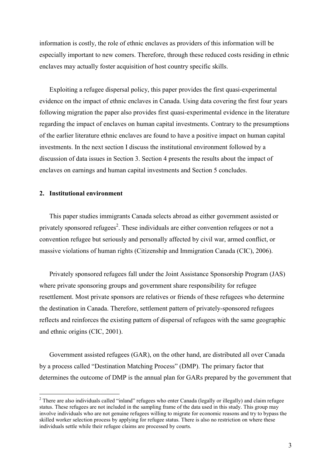information is costly, the role of ethnic enclaves as providers of this information will be especially important to new comers. Therefore, through these reduced costs residing in ethnic enclaves may actually foster acquisition of host country specific skills.

Exploiting a refugee dispersal policy, this paper provides the first quasi-experimental evidence on the impact of ethnic enclaves in Canada. Using data covering the first four years following migration the paper also provides first quasi-experimental evidence in the literature regarding the impact of enclaves on human capital investments. Contrary to the presumptions of the earlier literature ethnic enclaves are found to have a positive impact on human capital investments. In the next section I discuss the institutional environment followed by a discussion of data issues in Section 3. Section 4 presents the results about the impact of enclaves on earnings and human capital investments and Section 5 concludes.

#### 2. Institutional environment

This paper studies immigrants Canada selects abroad as either government assisted or privately sponsored refugees<sup>2</sup>. These individuals are either convention refugees or not a convention refugee but seriously and personally affected by civil war, armed conflict, or massive violations of human rights (Citizenship and Immigration Canada (CIC), 2006).

Privately sponsored refugees fall under the Joint Assistance Sponsorship Program (JAS) where private sponsoring groups and government share responsibility for refugee resettlement. Most private sponsors are relatives or friends of these refugees who determine the destination in Canada. Therefore, settlement pattern of privately-sponsored refugees reflects and reinforces the existing pattern of dispersal of refugees with the same geographic and ethnic origins (CIC, 2001).

Government assisted refugees (GAR), on the other hand, are distributed all over Canada by a process called "Destination Matching Process" (DMP). The primary factor that determines the outcome of DMP is the annual plan for GARs prepared by the government that

<sup>&</sup>lt;sup>2</sup> There are also individuals called "inland" refugees who enter Canada (legally or illegally) and claim refugee status. These refugees are not included in the sampling frame of the data used in this study. This group may involve individuals who are not genuine refugees willing to migrate for economic reasons and try to bypass the skilled worker selection process by applying for refugee status. There is also no restriction on where these individuals settle while their refugee claims are processed by courts.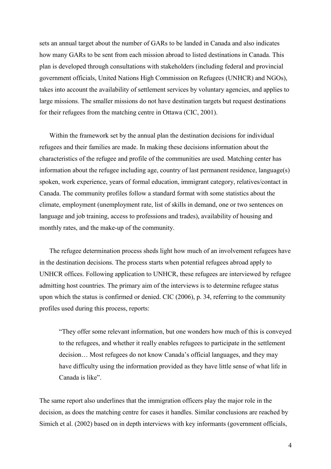sets an annual target about the number of GARs to be landed in Canada and also indicates how many GARs to be sent from each mission abroad to listed destinations in Canada. This plan is developed through consultations with stakeholders (including federal and provincial government officials, United Nations High Commission on Refugees (UNHCR) and NGOs), takes into account the availability of settlement services by voluntary agencies, and applies to large missions. The smaller missions do not have destination targets but request destinations for their refugees from the matching centre in Ottawa (CIC, 2001).

Within the framework set by the annual plan the destination decisions for individual refugees and their families are made. In making these decisions information about the characteristics of the refugee and profile of the communities are used. Matching center has information about the refugee including age, country of last permanent residence, language(s) spoken, work experience, years of formal education, immigrant category, relatives/contact in Canada. The community profiles follow a standard format with some statistics about the climate, employment (unemployment rate, list of skills in demand, one or two sentences on language and job training, access to professions and trades), availability of housing and monthly rates, and the make-up of the community.

The refugee determination process sheds light how much of an involvement refugees have in the destination decisions. The process starts when potential refugees abroad apply to UNHCR offices. Following application to UNHCR, these refugees are interviewed by refugee admitting host countries. The primary aim of the interviews is to determine refugee status upon which the status is confirmed or denied. CIC (2006), p. 34, referring to the community profiles used during this process, reports:

"They offer some relevant information, but one wonders how much of this is conveyed to the refugees, and whether it really enables refugees to participate in the settlement decision... Most refugees do not know Canada's official languages, and they may have difficulty using the information provided as they have little sense of what life in Canada is like".

The same report also underlines that the immigration officers play the major role in the decision, as does the matching centre for cases it handles. Similar conclusions are reached by Simich et al. (2002) based on in depth interviews with key informants (government officials,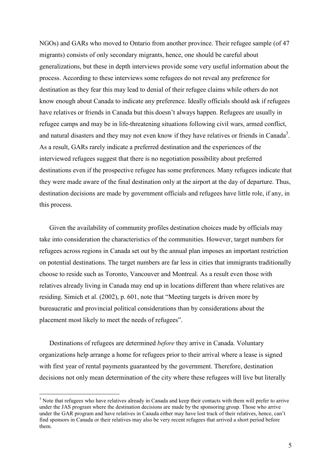NGOs) and GARs who moved to Ontario from another province. Their refugee sample (of 47 migrants) consists of only secondary migrants, hence, one should be careful about generalizations, but these in depth interviews provide some very useful information about the process. According to these interviews some refugees do not reveal any preference for destination as they fear this may lead to denial of their refugee claims while others do not know enough about Canada to indicate any preference. Ideally officials should ask if refugees have relatives or friends in Canada but this doesn't always happen. Refugees are usually in refugee camps and may be in life-threatening situations following civil wars, armed conflict, and natural disasters and they may not even know if they have relatives or friends in Canada<sup>3</sup>. As a result, GARs rarely indicate a preferred destination and the experiences of the interviewed refugees suggest that there is no negotiation possibility about preferred destinations even if the prospective refugee has some preferences. Many refugees indicate that they were made aware of the final destination only at the airport at the day of departure. Thus, destination decisions are made by government officials and refugees have little role, if any, in this process.

Given the availability of community profiles destination choices made by officials may take into consideration the characteristics of the communities. However, target numbers for refugees across regions in Canada set out by the annual plan imposes an important restriction on potential destinations. The target numbers are far less in cities that immigrants traditionally choose to reside such as Toronto, Vancouver and Montreal. As a result even those with relatives already living in Canada may end up in locations different than where relatives are residing. Simich et al. (2002), p. 601, note that "Meeting targets is driven more by bureaucratic and provincial political considerations than by considerations about the placement most likely to meet the needs of refugees".

Destinations of refugees are determined *before* they arrive in Canada. Voluntary organizations help arrange a home for refugees prior to their arrival where a lease is signed with first year of rental payments guaranteed by the government. Therefore, destination decisions not only mean determination of the city where these refugees will live but literally

<sup>&</sup>lt;sup>3</sup> Note that refugees who have relatives already in Canada and keep their contacts with them will prefer to arrive under the JAS program where the destination decisions are made by the sponsoring group. Those who arrive under the GAR program and have relatives in Canada either may have lost track of their relatives, hence, can't find sponsors in Canada or their relatives may also be very recent refugees that arrived a short period before them.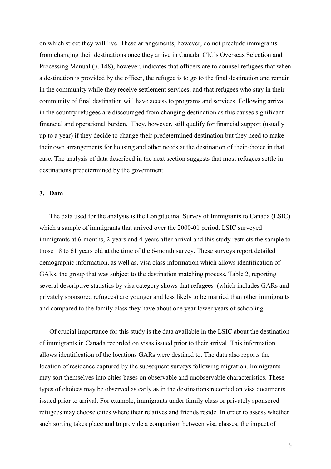on which street they will live. These arrangements, however, do not preclude immigrants from changing their destinations once they arrive in Canada. CIC's Overseas Selection and Processing Manual (p. 148), however, indicates that officers are to counsel refugees that when a destination is provided by the officer, the refugee is to go to the final destination and remain in the community while they receive settlement services, and that refugees who stay in their community of final destination will have access to programs and services. Following arrival in the country refugees are discouraged from changing destination as this causes significant financial and operational burden. They, however, still qualify for financial support (usually up to a year) if they decide to change their predetermined destination but they need to make their own arrangements for housing and other needs at the destination of their choice in that case. The analysis of data described in the next section suggests that most refugees settle in destinations predetermined by the government.

#### 3. Data

The data used for the analysis is the Longitudinal Survey of Immigrants to Canada (LSIC) which a sample of immigrants that arrived over the 2000-01 period. LSIC surveyed immigrants at 6-months, 2-years and 4-years after arrival and this study restricts the sample to those 18 to 61 years old at the time of the 6-month survey. These surveys report detailed demographic information, as well as, visa class information which allows identification of GARs, the group that was subject to the destination matching process. Table 2, reporting several descriptive statistics by visa category shows that refugees (which includes GARs and privately sponsored refugees) are younger and less likely to be married than other immigrants and compared to the family class they have about one year lower years of schooling.

Of crucial importance for this study is the data available in the LSIC about the destination of immigrants in Canada recorded on visas issued prior to their arrival. This information allows identification of the locations GARs were destined to. The data also reports the location of residence captured by the subsequent surveys following migration. Immigrants may sort themselves into cities bases on observable and unobservable characteristics. These types of choices may be observed as early as in the destinations recorded on visa documents issued prior to arrival. For example, immigrants under family class or privately sponsored refugees may choose cities where their relatives and friends reside. In order to assess whether such sorting takes place and to provide a comparison between visa classes, the impact of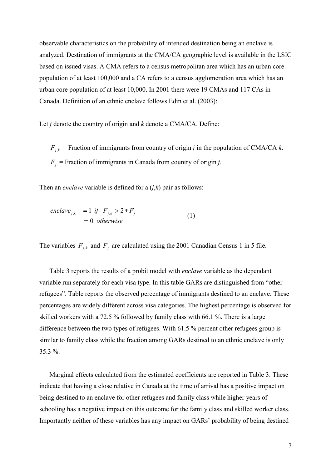observable characteristics on the probability of intended destination being an enclave is analyzed. Destination of immigrants at the CMA/CA geographic level is available in the LSIC based on issued visas. A CMA refers to a census metropolitan area which has an urban core population of at least 100,000 and a CA refers to a census agglomeration area which has an urban core population of at least 10,000. In 2001 there were 19 CMAs and 117 CAs in Canada. Definition of an ethnic enclave follows Edin et al. (2003):

Let *j* denote the country of origin and  $k$  denote a CMA/CA. Define:

 $F_{i,k}$  = Fraction of immigrants from country of origin *j* in the population of CMA/CA *k*.  $F_j$  = Fraction of immigrants in Canada from country of origin j.

Then an *enclave* variable is defined for a  $(i, k)$  pair as follows:

$$
enclaw_{j,k} = 1 \text{ if } F_{j,k} > 2 * F_j
$$
  
= 0 otherwise (1)

The variables  $F_{j,k}$  and  $F_j$  are calculated using the 2001 Canadian Census 1 in 5 file.

Table 3 reports the results of a probit model with *enclave* variable as the dependant variable run separately for each visa type. In this table GARs are distinguished from "other refugees". Table reports the observed percentage of immigrants destined to an enclave. These percentages are widely different across visa categories. The highest percentage is observed for skilled workers with a 72.5 % followed by family class with 66.1 %. There is a large difference between the two types of refugees. With 61.5 % percent other refugees group is similar to family class while the fraction among GARs destined to an ethnic enclave is only  $35.3\%$ .

Marginal effects calculated from the estimated coefficients are reported in Table 3. These indicate that having a close relative in Canada at the time of arrival has a positive impact on being destined to an enclave for other refugees and family class while higher years of schooling has a negative impact on this outcome for the family class and skilled worker class. Importantly neither of these variables has any impact on GARs' probability of being destined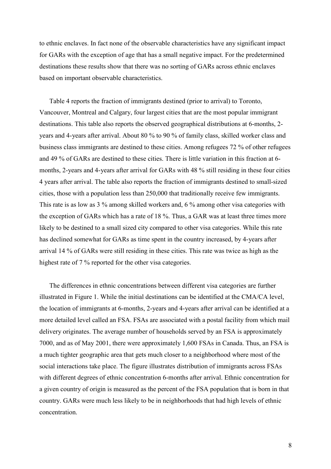to ethnic enclaves. In fact none of the observable characteristics have any significant impact for GARs with the exception of age that has a small negative impact. For the predetermined destinations these results show that there was no sorting of GARs across ethnic enclaves based on important observable characteristics.

Table 4 reports the fraction of immigrants destined (prior to arrival) to Toronto. Vancouver, Montreal and Calgary, four largest cities that are the most popular immigrant destinations. This table also reports the observed geographical distributions at 6-months, 2years and 4-years after arrival. About 80 % to 90 % of family class, skilled worker class and business class immigrants are destined to these cities. Among refugees 72 % of other refugees and 49 % of GARs are destined to these cities. There is little variation in this fraction at 6months, 2-years and 4-years after arrival for GARs with 48 % still residing in these four cities 4 years after arrival. The table also reports the fraction of immigrants destined to small-sized cities, those with a population less than 250,000 that traditionally receive few immigrants. This rate is as low as 3 % among skilled workers and, 6 % among other visa categories with the exception of GARs which has a rate of 18 %. Thus, a GAR was at least three times more likely to be destined to a small sized city compared to other visa categories. While this rate has declined somewhat for GARs as time spent in the country increased, by 4-years after arrival 14 % of GARs were still residing in these cities. This rate was twice as high as the highest rate of 7 % reported for the other visa categories.

The differences in ethnic concentrations between different visa categories are further illustrated in Figure 1. While the initial destinations can be identified at the CMA/CA level, the location of immigrants at 6-months, 2-years and 4-years after arrival can be identified at a more detailed level called an FSA. FSAs are associated with a postal facility from which mail delivery originates. The average number of households served by an FSA is approximately 7000, and as of May 2001, there were approximately 1,600 FSAs in Canada. Thus, an FSA is a much tighter geographic area that gets much closer to a neighborhood where most of the social interactions take place. The figure illustrates distribution of immigrants across FSAs with different degrees of ethnic concentration 6-months after arrival. Ethnic concentration for a given country of origin is measured as the percent of the FSA population that is born in that country. GARs were much less likely to be in neighborhoods that had high levels of ethnic concentration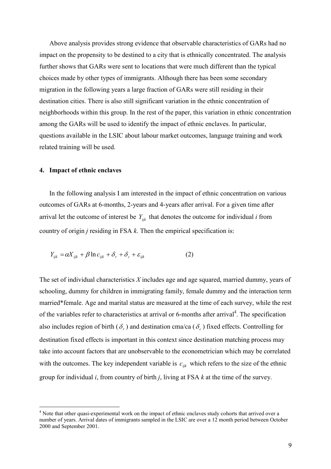Above analysis provides strong evidence that observable characteristics of GARs had no impact on the propensity to be destined to a city that is ethnically concentrated. The analysis further shows that GARs were sent to locations that were much different than the typical choices made by other types of immigrants. Although there has been some secondary migration in the following years a large fraction of GARs were still residing in their destination cities. There is also still significant variation in the ethnic concentration of neighborhoods within this group. In the rest of the paper, this variation in ethnic concentration among the GARs will be used to identify the impact of ethnic enclaves. In particular, questions available in the LSIC about labour market outcomes, language training and work related training will be used.

#### 4. Impact of ethnic enclaves

In the following analysis I am interested in the impact of ethnic concentration on various outcomes of GARs at 6-months, 2-years and 4-years after arrival. For a given time after arrival let the outcome of interest be  $Y_{ijk}$  that denotes the outcome for individual i from country of origin  $j$  residing in FSA  $k$ . Then the empirical specification is:

$$
Y_{ijk} = \alpha X_{ijk} + \beta \ln c_{ijk} + \delta_r + \delta_c + \varepsilon_{ijk}
$$
 (2)

The set of individual characteristics X includes age and age squared, married dummy, years of schooling, dummy for children in immigrating family, female dummy and the interaction term married\*female. Age and marital status are measured at the time of each survey, while the rest of the variables refer to characteristics at arrival or 6-months after arrival<sup>4</sup>. The specification also includes region of birth ( $\delta$ ) and destination cma/ca ( $\delta$ ) fixed effects. Controlling for destination fixed effects is important in this context since destination matching process may take into account factors that are unobservable to the econometrician which may be correlated with the outcomes. The key independent variable is  $c_{ijk}$  which refers to the size of the ethnic group for individual  $i$ , from country of birth  $j$ , living at FSA  $k$  at the time of the survey.

<sup>&</sup>lt;sup>4</sup> Note that other quasi-experimental work on the impact of ethnic enclaves study cohorts that arrived over a number of years. Arrival dates of immigrants sampled in the LSIC are over a 12 month period between October 2000 and September 2001.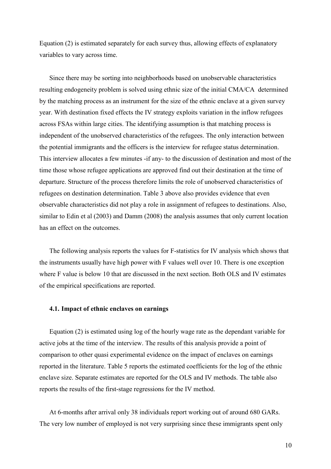Equation (2) is estimated separately for each survey thus, allowing effects of explanatory variables to vary across time.

Since there may be sorting into neighborhoods based on unobservable characteristics resulting endogeneity problem is solved using ethnic size of the initial CMA/CA determined by the matching process as an instrument for the size of the ethnic enclave at a given survey year. With destination fixed effects the IV strategy exploits variation in the inflow refugees across FSAs within large cities. The identifying assumption is that matching process is independent of the unobserved characteristics of the refugees. The only interaction between the potential immigrants and the officers is the interview for refugee status determination. This interview allocates a few minutes -if any- to the discussion of destination and most of the time those whose refugee applications are approved find out their destination at the time of departure. Structure of the process therefore limits the role of unobserved characteristics of refugees on destination determination. Table 3 above also provides evidence that even observable characteristics did not play a role in assignment of refugees to destinations. Also, similar to Edin et al (2003) and Damm (2008) the analysis assumes that only current location has an effect on the outcomes.

The following analysis reports the values for F-statistics for IV analysis which shows that the instruments usually have high power with F values well over 10. There is one exception where F value is below 10 that are discussed in the next section. Both OLS and IV estimates of the empirical specifications are reported.

#### 4.1. Impact of ethnic enclaves on earnings

Equation (2) is estimated using log of the hourly wage rate as the dependant variable for active jobs at the time of the interview. The results of this analysis provide a point of comparison to other quasi experimental evidence on the impact of enclaves on earnings reported in the literature. Table 5 reports the estimated coefficients for the log of the ethnic enclave size. Separate estimates are reported for the OLS and IV methods. The table also reports the results of the first-stage regressions for the IV method.

At 6-months after arrival only 38 individuals report working out of around 680 GARs. The very low number of employed is not very surprising since these immigrants spent only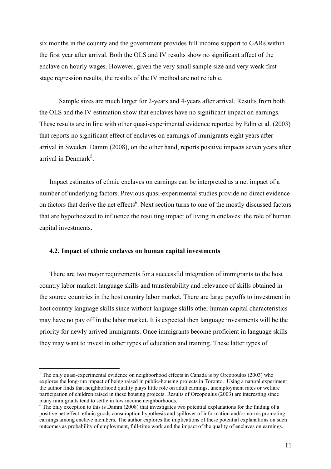six months in the country and the government provides full income support to GARs within the first year after arrival. Both the OLS and IV results show no significant affect of the enclave on hourly wages. However, given the very small sample size and very weak first stage regression results, the results of the IV method are not reliable.

Sample sizes are much larger for 2-years and 4-years after arrival. Results from both the OLS and the IV estimation show that enclaves have no significant impact on earnings. These results are in line with other quasi-experimental evidence reported by Edin et al. (2003) that reports no significant effect of enclaves on earnings of immigrants eight years after arrival in Sweden. Damm (2008), on the other hand, reports positive impacts seven years after arrival in Denmark<sup>5</sup>

Impact estimates of ethnic enclaves on earnings can be interpreted as a net impact of a number of underlying factors. Previous quasi-experimental studies provide no direct evidence on factors that derive the net effects<sup>6</sup>. Next section turns to one of the mostly discussed factors that are hypothesized to influence the resulting impact of living in enclaves: the role of human capital investments.

#### 4.2. Impact of ethnic enclaves on human capital investments

There are two major requirements for a successful integration of immigrants to the host country labor market: language skills and transferability and relevance of skills obtained in the source countries in the host country labor market. There are large payoffs to investment in host country language skills since without language skills other human capital characteristics may have no pay off in the labor market. It is expected then language investments will be the priority for newly arrived immigrants. Once immigrants become proficient in language skills they may want to invest in other types of education and training. These latter types of

 $5$  The only quasi-experimental evidence on neighborhood effects in Canada is by Oreopoulos (2003) who explores the long-run impact of being raised in public-housing projects in Toronto. Using a natural experiment the author finds that neighborhood quality plays little role on adult earnings, unemployment rates or welfare participation of children raised in these housing projects. Results of Oreopoulus (2003) are interesting since many immigrants tend to settle in low income neighborhoods.

 $6$  The only exception to this is Damm (2008) that investigates two potential explanations for the finding of a positive net effect: ethnic goods consumption hypothesis and spillover of information and/or norms promoting earnings among enclave members. The author explores the implications of these potential explanations on such outcomes as probability of employment, full-time work and the impact of the quality of enclaves on earnings.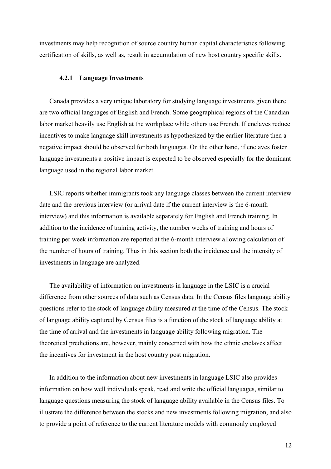investments may help recognition of source country human capital characteristics following certification of skills, as well as, result in accumulation of new host country specific skills.

#### 4.2.1 Language Investments

Canada provides a very unique laboratory for studying language investments given there are two official languages of English and French. Some geographical regions of the Canadian labor market heavily use English at the workplace while others use French. If enclaves reduce incentives to make language skill investments as hypothesized by the earlier literature then a negative impact should be observed for both languages. On the other hand, if enclaves foster language investments a positive impact is expected to be observed especially for the dominant language used in the regional labor market.

LSIC reports whether immigrants took any language classes between the current interview date and the previous interview (or arrival date if the current interview is the 6-month interview) and this information is available separately for English and French training. In addition to the incidence of training activity, the number weeks of training and hours of training per week information are reported at the 6-month interview allowing calculation of the number of hours of training. Thus in this section both the incidence and the intensity of investments in language are analyzed.

The availability of information on investments in language in the LSIC is a crucial difference from other sources of data such as Census data. In the Census files language ability questions refer to the stock of language ability measured at the time of the Census. The stock of language ability captured by Census files is a function of the stock of language ability at the time of arrival and the investments in language ability following migration. The theoretical predictions are, however, mainly concerned with how the ethnic enclaves affect the incentives for investment in the host country post migration.

In addition to the information about new investments in language LSIC also provides information on how well individuals speak, read and write the official languages, similar to language questions measuring the stock of language ability available in the Census files. To illustrate the difference between the stocks and new investments following migration, and also to provide a point of reference to the current literature models with commonly employed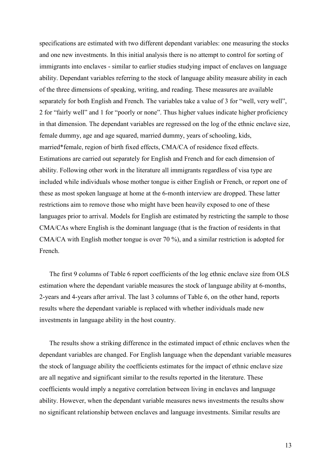specifications are estimated with two different dependant variables: one measuring the stocks and one new investments. In this initial analysis there is no attempt to control for sorting of immigrants into enclaves - similar to earlier studies studying impact of enclaves on language ability. Dependant variables referring to the stock of language ability measure ability in each of the three dimensions of speaking, writing, and reading. These measures are available separately for both English and French. The variables take a value of 3 for "well, very well", 2 for "fairly well" and 1 for "poorly or none". Thus higher values indicate higher proficiency in that dimension. The dependant variables are regressed on the log of the ethnic enclave size, female dummy, age and age squared, married dummy, years of schooling, kids, married\*female, region of birth fixed effects, CMA/CA of residence fixed effects. Estimations are carried out separately for English and French and for each dimension of ability. Following other work in the literature all immigrants regardless of visa type are included while individuals whose mother tongue is either English or French, or report one of these as most spoken language at home at the 6-month interview are dropped. These latter restrictions aim to remove those who might have been heavily exposed to one of these languages prior to arrival. Models for English are estimated by restricting the sample to those CMA/CAs where English is the dominant language (that is the fraction of residents in that CMA/CA with English mother tongue is over 70 %), and a similar restriction is adopted for French.

The first 9 columns of Table 6 report coefficients of the log ethnic enclave size from OLS estimation where the dependant variable measures the stock of language ability at 6-months, 2-years and 4-years after arrival. The last 3 columns of Table 6, on the other hand, reports results where the dependant variable is replaced with whether individuals made new investments in language ability in the host country.

The results show a striking difference in the estimated impact of ethnic enclaves when the dependant variables are changed. For English language when the dependant variable measures the stock of language ability the coefficients estimates for the impact of ethnic enclave size are all negative and significant similar to the results reported in the literature. These coefficients would imply a negative correlation between living in enclaves and language ability. However, when the dependant variable measures news investments the results show no significant relationship between enclaves and language investments. Similar results are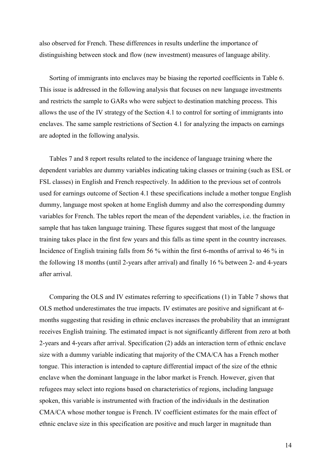also observed for French. These differences in results underline the importance of distinguishing between stock and flow (new investment) measures of language ability.

Sorting of immigrants into enclaves may be biasing the reported coefficients in Table 6. This issue is addressed in the following analysis that focuses on new language investments and restricts the sample to GARs who were subject to destination matching process. This allows the use of the IV strategy of the Section 4.1 to control for sorting of immigrants into enclaves. The same sample restrictions of Section 4.1 for analyzing the impacts on earnings are adopted in the following analysis.

Tables 7 and 8 report results related to the incidence of language training where the dependent variables are dummy variables indicating taking classes or training (such as ESL or FSL classes) in English and French respectively. In addition to the previous set of controls used for earnings outcome of Section 4.1 these specifications include a mother tongue English dummy, language most spoken at home English dummy and also the corresponding dummy variables for French. The tables report the mean of the dependent variables, i.e. the fraction in sample that has taken language training. These figures suggest that most of the language training takes place in the first few years and this falls as time spent in the country increases. Incidence of English training falls from 56 % within the first 6-months of arrival to 46 % in the following 18 months (until 2-years after arrival) and finally 16 % between 2- and 4-years after arrival

Comparing the OLS and IV estimates referring to specifications (1) in Table 7 shows that OLS method underestimates the true impacts. IV estimates are positive and significant at 6months suggesting that residing in ethnic enclaves increases the probability that an immigrant receives English training. The estimated impact is not significantly different from zero at both 2-years and 4-years after arrival. Specification (2) adds an interaction term of ethnic enclave size with a dummy variable indicating that majority of the CMA/CA has a French mother tongue. This interaction is intended to capture differential impact of the size of the ethnic enclave when the dominant language in the labor market is French. However, given that refugees may select into regions based on characteristics of regions, including language spoken, this variable is instrumented with fraction of the individuals in the destination CMA/CA whose mother tongue is French. IV coefficient estimates for the main effect of ethnic enclave size in this specification are positive and much larger in magnitude than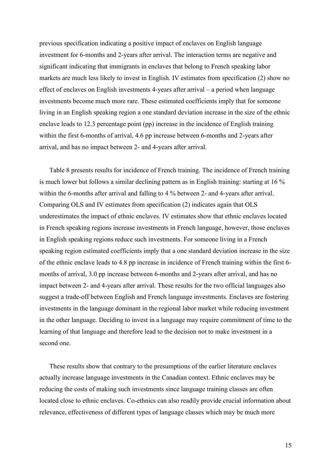previous specification indicating a positive impact of enclaves on English language investment for 6-months and 2-years after arrival. The interaction terms are negative and significant indicating that immigrants in enclaves that belong to French speaking labor markets are much less likely to invest in English. IV estimates from specification (2) show no effect of enclaves on English investments 4-years after arrival – a period when language investments become much more rare. These estimated coefficients imply that for someone living in an English speaking region a one standard deviation increase in the size of the ethnic enclave leads to 12.3 percentage point (pp) increase in the incidence of English training within the first 6-months of arrival, 4.6 pp increase between 6-months and 2-years after arrival, and has no impact between 2- and 4-years after arrival.

Table 8 presents results for incidence of French training. The incidence of French training is much lower but follows a similar declining pattern as in English training: starting at 16 % within the 6-months after arrival and falling to 4 % between 2- and 4-years after arrival. Comparing OLS and IV estimates from specification (2) indicates again that OLS underestimates the impact of ethnic enclaves. IV estimates show that ethnic enclaves located in French speaking regions increase investments in French language, however, those enclaves in English speaking regions reduce such investments. For someone living in a French speaking region estimated coefficients imply that a one standard deviation increase in the size of the ethnic enclave leads to 4.8 pp increase in incidence of French training within the first 6months of arrival, 3.0 pp increase between 6-months and 2-years after arrival, and has no impact between 2- and 4-years after arrival. These results for the two official languages also suggest a trade-off between English and French language investments. Enclaves are fostering investments in the language dominant in the regional labor market while reducing investment in the other language. Deciding to invest in a language may require commitment of time to the learning of that language and therefore lead to the decision not to make investment in a second one.

These results show that contrary to the presumptions of the earlier literature enclaves actually increase language investments in the Canadian context. Ethnic enclaves may be reducing the costs of making such investments since language training classes are often located close to ethnic enclaves. Co-ethnics can also readily provide crucial information about relevance, effectiveness of different types of language classes which may be much more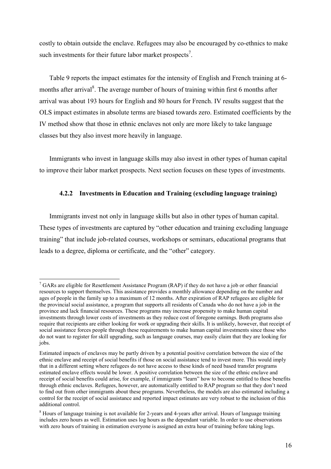costly to obtain outside the enclave. Refugees may also be encouraged by co-ethnics to make such investments for their future labor market prospects<sup>7</sup>.

Table 9 reports the impact estimates for the intensity of English and French training at 6months after arrival<sup>8</sup>. The average number of hours of training within first 6 months after arrival was about 193 hours for English and 80 hours for French. IV results suggest that the OLS impact estimates in absolute terms are biased towards zero. Estimated coefficients by the IV method show that those in ethnic enclaves not only are more likely to take language classes but they also invest more heavily in language.

Immigrants who invest in language skills may also invest in other types of human capital to improve their labor market prospects. Next section focuses on these types of investments.

#### 4.2.2 Investments in Education and Training (excluding language training)

Immigrants invest not only in language skills but also in other types of human capital. These types of investments are captured by "other education and training excluding language training" that include job-related courses, workshops or seminars, educational programs that leads to a degree, diploma or certificate, and the "other" category.

 $\frac{7}{7}$  GARs are eligible for Resettlement Assistance Program (RAP) if they do not have a job or other financial resources to support themselves. This assistance provides a monthly allowance depending on the number and ages of people in the family up to a maximum of 12 months. After expiration of RAP refugees are eligible for the provincial social assistance, a program that supports all residents of Canada who do not have a job in the province and lack financial resources. These programs may increase propensity to make human capital investments through lower costs of investments as they reduce cost of foregone earnings. Both programs also require that recipients are either looking for work or upgrading their skills. It is unlikely, however, that receipt of social assistance forces people through these requirements to make human capital investments since those who do not want to register for skill upgrading, such as language courses, may easily claim that they are looking for jobs.

Estimated impacts of enclaves may be partly driven by a potential positive correlation between the size of the ethnic enclave and receipt of social benefits if those on social assistance tend to invest more. This would imply that in a different setting where refugees do not have access to these kinds of need based transfer programs estimated enclave effects would be lower. A positive correlation between the size of the ethnic enclave and receipt of social benefits could arise, for example, if immigrants "learn" how to become entitled to these benefits through ethnic enclaves. Refugees, however, are automatically entitled to RAP program so that they don't need to find out from other immigrants about these programs. Nevertheless, the models are also estimated including a control for the receipt of social assistance and reported impact estimates are very robust to the inclusion of this additional control.

<sup>&</sup>lt;sup>8</sup> Hours of language training is not available for 2-years and 4-years after arrival. Hours of language training includes zero hours as well. Estimation uses log hours as the dependant variable. In order to use observations with zero hours of training in estimation everyone is assigned an extra hour of training before taking logs.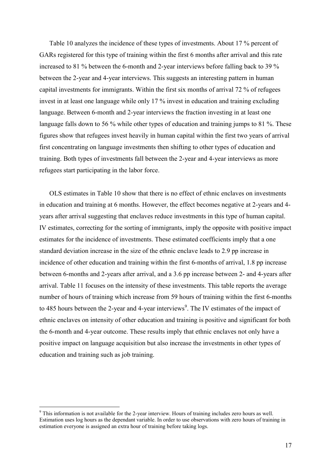Table 10 analyzes the incidence of these types of investments. About 17 % percent of GARs registered for this type of training within the first 6 months after arrival and this rate increased to 81 % between the 6-month and 2-year interviews before falling back to 39 % between the 2-year and 4-year interviews. This suggests an interesting pattern in human capital investments for immigrants. Within the first six months of arrival 72 % of refugees invest in at least one language while only 17 % invest in education and training excluding language. Between 6-month and 2-year interviews the fraction investing in at least one language falls down to 56 % while other types of education and training jumps to 81 %. These figures show that refugees invest heavily in human capital within the first two years of arrival first concentrating on language investments then shifting to other types of education and training. Both types of investments fall between the 2-year and 4-year interviews as more refugees start participating in the labor force.

OLS estimates in Table 10 show that there is no effect of ethnic enclaves on investments in education and training at 6 months. However, the effect becomes negative at 2-years and 4years after arrival suggesting that enclaves reduce investments in this type of human capital. IV estimates, correcting for the sorting of immigrants, imply the opposite with positive impact estimates for the incidence of investments. These estimated coefficients imply that a one standard deviation increase in the size of the ethnic enclave leads to 2.9 pp increase in incidence of other education and training within the first 6-months of arrival, 1.8 pp increase between 6-months and 2-years after arrival, and a 3.6 pp increase between 2- and 4-years after arrival. Table 11 focuses on the intensity of these investments. This table reports the average number of hours of training which increase from 59 hours of training within the first 6-months to 485 hours between the 2-year and 4-year interviews<sup>9</sup>. The IV estimates of the impact of ethnic enclaves on intensity of other education and training is positive and significant for both the 6-month and 4-year outcome. These results imply that ethnic enclaves not only have a positive impact on language acquisition but also increase the investments in other types of education and training such as job training.

<sup>&</sup>lt;sup>9</sup> This information is not available for the 2-vear interview. Hours of training includes zero hours as well. Estimation uses log hours as the dependant variable. In order to use observations with zero hours of training in estimation everyone is assigned an extra hour of training before taking logs.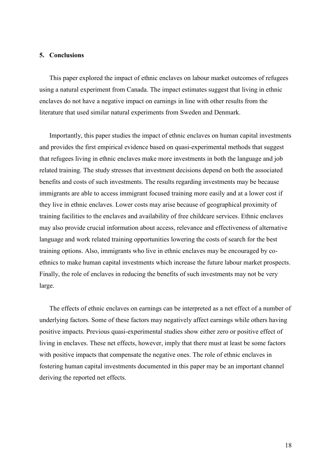#### 5. Conclusions

This paper explored the impact of ethnic enclaves on labour market outcomes of refugees using a natural experiment from Canada. The impact estimates suggest that living in ethnic enclaves do not have a negative impact on earnings in line with other results from the literature that used similar natural experiments from Sweden and Denmark.

Importantly, this paper studies the impact of ethnic enclaves on human capital investments and provides the first empirical evidence based on quasi-experimental methods that suggest that refugees living in ethnic enclaves make more investments in both the language and job related training. The study stresses that investment decisions depend on both the associated benefits and costs of such investments. The results regarding investments may be because immigrants are able to access immigrant focused training more easily and at a lower cost if they live in ethnic enclaves. Lower costs may arise because of geographical proximity of training facilities to the enclaves and availability of free childcare services. Ethnic enclaves may also provide crucial information about access, relevance and effectiveness of alternative language and work related training opportunities lowering the costs of search for the best training options. Also, immigrants who live in ethnic enclaves may be encouraged by coethnics to make human capital investments which increase the future labour market prospects. Finally, the role of enclaves in reducing the benefits of such investments may not be very large.

The effects of ethnic enclaves on earnings can be interpreted as a net effect of a number of underlying factors. Some of these factors may negatively affect earnings while others having positive impacts. Previous quasi-experimental studies show either zero or positive effect of living in enclaves. These net effects, however, imply that there must at least be some factors with positive impacts that compensate the negative ones. The role of ethnic enclaves in fostering human capital investments documented in this paper may be an important channel deriving the reported net effects.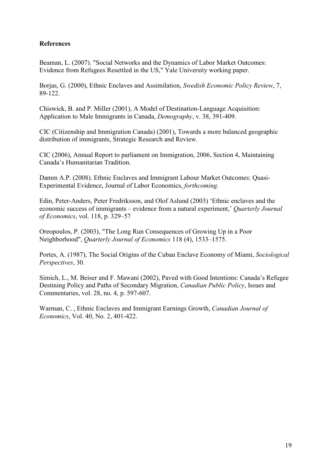#### **References**

Beaman, L. (2007). "Social Networks and the Dynamics of Labor Market Outcomes: Evidence from Refugees Resettled in the US," Yale University working paper.

Borias, G. (2000), Ethnic Enclaves and Assimilation, Swedish Economic Policy Review, 7, 89-122.

Chiswick, B. and P. Miller (2001), A Model of Destination-Language Acquisition: Application to Male Immigrants in Canada, *Demography*, v. 38, 391-409.

CIC (Citizenship and Immigration Canada) (2001), Towards a more balanced geographic distribution of immigrants, Strategic Research and Review.

CIC (2006), Annual Report to parliament on Immigration, 2006, Section 4, Maintaining Canada's Humanitarian Tradition.

Damm A.P. (2008). Ethnic Enclaves and Immigrant Labour Market Outcomes: Ouasi-Experimental Evidence, Journal of Labor Economics, *forthcoming*.

Edin, Peter-Anders, Peter Fredriksson, and Olof Aslund (2003) 'Ethnic enclaves and the economic success of immigrants – evidence from a natural experiment,' Quarterly Journal of Economics, vol. 118, p. 329–57

Oreopoulos, P. (2003), "The Long Run Consequences of Growing Up in a Poor Neighborhood", Quarterly Journal of Economics 118 (4), 1533-1575.

Portes, A. (1987). The Social Origins of the Cuban Enclave Economy of Miami, Sociological Perspectives, 30.

Simich, L., M. Beiser and F. Mawani (2002), Paved with Good Intentions: Canada's Refugee Destining Policy and Paths of Secondary Migration, Canadian Public Policy, Issues and Commentaries, vol. 28, no. 4, p. 597-607.

Warman, C., Ethnic Enclaves and Immigrant Earnings Growth, Canadian Journal of Economics, Vol. 40, No. 2, 401-422.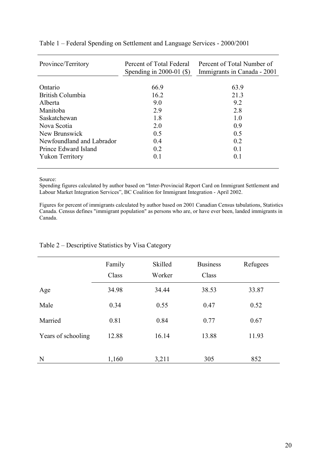| Province/Territory        | Percent of Total Federal<br>Spending in 2000-01 $(\$ | Percent of Total Number of<br>Immigrants in Canada - 2001 |  |  |  |
|---------------------------|------------------------------------------------------|-----------------------------------------------------------|--|--|--|
| Ontario                   | 669                                                  | 63.9                                                      |  |  |  |
|                           |                                                      |                                                           |  |  |  |
| British Columbia          | 16.2                                                 | 21.3                                                      |  |  |  |
| Alberta                   | 90                                                   | 9.2                                                       |  |  |  |
| Manitoba                  | 2.9                                                  | 2.8                                                       |  |  |  |
| Saskatchewan              | 1.8                                                  | 1.0                                                       |  |  |  |
| Nova Scotia               | 2.0                                                  | 0.9                                                       |  |  |  |
| New Brunswick             | 0.5                                                  | 0.5                                                       |  |  |  |
| Newfoundland and Labrador | 0.4                                                  | 0.2                                                       |  |  |  |
| Prince Edward Island      | 0.2                                                  | 0.1                                                       |  |  |  |
| <b>Yukon Territory</b>    | 0.1                                                  | 0.1                                                       |  |  |  |
|                           |                                                      |                                                           |  |  |  |

#### Table 1 – Federal Spending on Settlement and Language Services - 2000/2001

Source:

Spending figures calculated by author based on "Inter-Provincial Report Card on Immigrant Settlement and Labour Market Integration Services", BC Coalition for Immigrant Integration - April 2002.

Figures for percent of immigrants calculated by author based on 2001 Canadian Census tabulations, Statistics Canada. Census defines "immigrant population" as persons who are, or have ever been, landed immigrants in Canada.

|                    | Family<br>Class | Skilled<br>Worker | <b>Business</b><br>Class | Refugees |
|--------------------|-----------------|-------------------|--------------------------|----------|
| Age                | 34.98           | 34.44             | 38.53                    | 33.87    |
| Male               | 0.34            | 0.55              | 0.47                     | 0.52     |
| Married            | 0.81            | 0.84              | 0.77                     | 0.67     |
| Years of schooling | 12.88           | 16.14             | 13.88                    | 11.93    |
|                    |                 |                   |                          |          |
| N                  | 1,160           | 3,211             | 305                      | 852      |

#### Table 2 – Descriptive Statistics by Visa Category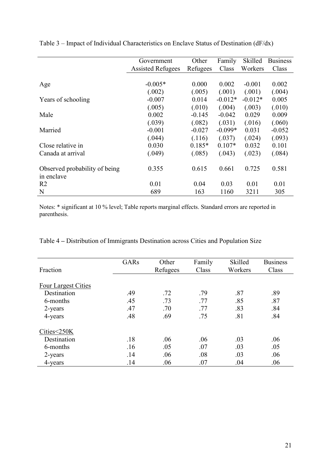|                               | Government               | Other    | Family    | Skilled   | <b>Business</b> |
|-------------------------------|--------------------------|----------|-----------|-----------|-----------------|
|                               | <b>Assisted Refugees</b> | Refugees | Class     | Workers   | Class           |
|                               |                          |          |           |           |                 |
| Age                           | $-0.005*$                | 0.000    | 0.002     | $-0.001$  | 0.002           |
|                               | (.002)                   | (.005)   | (.001)    | (.001)    | (.004)          |
| Years of schooling            | $-0.007$                 | 0.014    | $-0.012*$ | $-0.012*$ | 0.005           |
|                               | (.005)                   | (.010)   | (.004)    | (.003)    | (.010)          |
| Male                          | 0.002                    | $-0.145$ | $-0.042$  | 0.029     | 0.009           |
|                               | (.039)                   | (.082)   | (.031)    | (.016)    | (.060)          |
| Married                       | $-0.001$                 | $-0.027$ | $-0.099*$ | 0.031     | $-0.052$        |
|                               | (.044)                   | (.116)   | (.037)    | (.024)    | (.093)          |
| Close relative in             | 0.030                    | $0.185*$ | $0.107*$  | 0.032     | 0.101           |
| Canada at arrival             | (.049)                   | (.085)   | (.043)    | (.023)    | (.084)          |
|                               |                          |          |           |           |                 |
| Observed probability of being | 0.355                    | 0.615    | 0.661     | 0.725     | 0.581           |
| in enclave                    |                          |          |           |           |                 |
| R <sub>2</sub>                | 0.01                     | 0.04     | 0.03      | 0.01      | 0.01            |
| N                             | 689                      | 163      | 1160      | 3211      | 305             |

Table 3 – Impact of Individual Characteristics on Enclave Status of Destination ( $dF/dx$ )

Notes: \* significant at 10 % level; Table reports marginal effects. Standard errors are reported in parenthesis.

Table 4 – Distribution of Immigrants Destination across Cities and Population Size

| Fraction                   | GARs | Other<br>Refugees | Family<br>Class | Skilled<br>Workers | <b>Business</b><br>Class |
|----------------------------|------|-------------------|-----------------|--------------------|--------------------------|
| <b>Four Largest Cities</b> |      |                   |                 |                    |                          |
| Destination                | .49  | .72               | .79             | .87                | .89                      |
| 6-months                   | .45  | .73               | .77             | .85                | .87                      |
| 2-years                    | .47  | .70               | .77             | .83                | .84                      |
| 4-years                    | .48  | .69               | .75             | .81                | .84                      |
| Cities<250K                |      |                   |                 |                    |                          |
| Destination                | .18  | .06               | .06             | .03                | .06                      |
| 6-months                   | .16  | .05               | .07             | .03                | .05                      |
| 2-years                    | .14  | .06               | .08             | .03                | .06                      |
| 4-years                    | .14  | .06               | .07             | .04                | .06                      |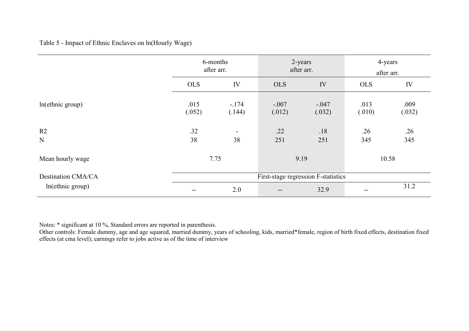#### Table 5 - Impact of Ethnic Enclaves on ln(Hourly Wage)

|                           | 6-months<br>after arr. |                  |                   | 2-years<br>after arr.               | 4-years<br>after arr. |                |  |
|---------------------------|------------------------|------------------|-------------------|-------------------------------------|-----------------------|----------------|--|
|                           | <b>OLS</b>             | IV               | <b>OLS</b>        | IV                                  | <b>OLS</b>            | IV             |  |
| ln(ethnic group)          | .015<br>(.052)         | $-174$<br>(.144) | $-.007$<br>(.012) | $-.047$<br>(.032)                   | .013<br>(.010)        | .009<br>(.032) |  |
| R <sub>2</sub><br>N       | .32<br>38              | 38               | .22<br>251        | .18<br>251                          | .26<br>345            | .26<br>345     |  |
| Mean hourly wage          | 7.75                   |                  | 9.19              |                                     | 10.58                 |                |  |
| <b>Destination CMA/CA</b> |                        |                  |                   | First-stage regression F-statistics |                       |                |  |
| ln(ethnic group)          |                        | 2.0              | $\qquad \qquad -$ | 32.9                                | --                    | 31.2           |  |

Notes: \* significant at 10 %, Standard errors are reported in parenthesis.<br>Other controls: Female dummy, age and age squared, married dummy, years of schooling, kids, married\*female, region of birth fixed effects, destinat effects (at cma level); earnings refer to jobs active as of the time of interview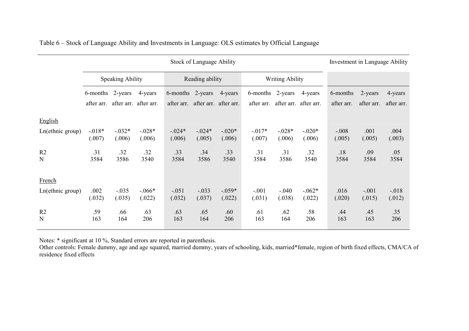|                     | <b>Stock of Language Ability</b> |                         |                                  |                                |                       |                    |                        |                        |                       |                        | Investment in Language Ability |                       |  |
|---------------------|----------------------------------|-------------------------|----------------------------------|--------------------------------|-----------------------|--------------------|------------------------|------------------------|-----------------------|------------------------|--------------------------------|-----------------------|--|
|                     |                                  | <b>Speaking Ability</b> |                                  |                                | Reading ability       |                    |                        | <b>Writing Ability</b> |                       |                        |                                |                       |  |
|                     | 6-months<br>after arr.           | 2-years                 | 4-years<br>after arr. after arr. | 6-months 2-years<br>after arr. | after arr. after arr. | 4-years            | 6-months<br>after arr. | 2-years<br>after arr.  | 4-years<br>after arr. | 6-months<br>after arr. | 2-years<br>after arr.          | 4-years<br>after arr. |  |
| English             |                                  |                         |                                  |                                |                       |                    |                        |                        |                       |                        |                                |                       |  |
| Ln(ethnic group)    | $-0.018*$<br>(.007)              | $-.032*$<br>(.006)      | $-.028*$<br>(.006)               | $-.024*$<br>(.006)             | $-.024*$<br>(.005)    | $-.020*$<br>(.006) | $-0.017*$<br>(.007)    | $-.028*$<br>(.006)     | $-.020*$<br>(.006)    | $-.008$<br>(.005)      | .001<br>(.005)                 | .004<br>(.003)        |  |
| R2<br>N             | .31<br>3584                      | .32<br>3586             | .32<br>3540                      | .33<br>3584                    | .34<br>3586           | .33<br>3540        | .31<br>3584            | .31<br>3586            | .32<br>3540           | .18<br>3584            | .09<br>3584                    | .05<br>3584           |  |
| French              |                                  |                         |                                  |                                |                       |                    |                        |                        |                       |                        |                                |                       |  |
| Ln(ethnic group)    | .002<br>(.032)                   | $-.035$<br>(.035)       | $-.066*$<br>(.022)               | $-.051$<br>(.032)              | $-.033$<br>(.037)     | $-.059*$<br>(.022) | $-.001$<br>(.031)      | $-.040$<br>(.038)      | $-.062*$<br>(.022)    | .016<br>(.020)         | $-.001$<br>(.015)              | $-.018$<br>(.012)     |  |
| R <sub>2</sub><br>N | .59<br>163                       | .66<br>164              | .63<br>206                       | .63<br>163                     | .65<br>164            | .60<br>206         | .61<br>163             | .62<br>164             | .58<br>206            | .44<br>163             | .45<br>163                     | .35<br>206            |  |

Table 6 - Stock of Language Ability and Investments in Language: OLS estimates by Official Language

Notes: \* significant at 10 %, Standard errors are reported in parenthesis.

Other controls: Female dummy, age and age squared, married dummy, years of schooling, kids, married\*female, region of birth fixed effects, CMA/CA of residence fixed effects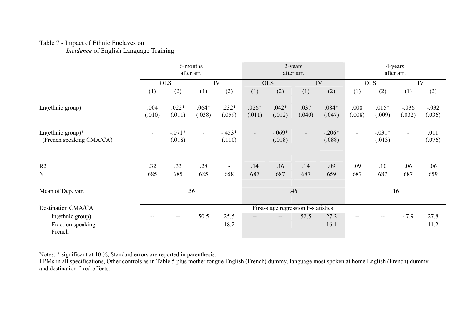### Table 7 - Impact of Ethnic Enclaves on

Incidence of English Language Training

|                                                 | 6-months<br>after arr. |                    |                          |                   | 2-years<br>after arr.    |                                     |                   |                    | 4-years<br>after arr. |                          |                          |                   |
|-------------------------------------------------|------------------------|--------------------|--------------------------|-------------------|--------------------------|-------------------------------------|-------------------|--------------------|-----------------------|--------------------------|--------------------------|-------------------|
|                                                 |                        | <b>OLS</b>         |                          | IV                |                          | <b>OLS</b><br>IV                    |                   |                    | <b>OLS</b><br>IV      |                          |                          |                   |
|                                                 | (1)                    | (2)                | (1)                      | (2)               | (1)                      | (2)                                 | (1)               | (2)                | (1)                   | (2)                      | (1)                      | (2)               |
| Ln(ethnic group)                                | .004<br>(.010)         | $.022*$<br>(.011)  | $.064*$<br>(.038)        | $.232*$<br>(.059) | $.026*$<br>(.011)        | $.042*$<br>(.012)                   | .037<br>(.040)    | $.084*$<br>(.047)  | .008<br>(.008)        | $.015*$<br>(.009)        | $-.036$<br>(.032)        | $-.032$<br>(.036) |
| $Ln(ethnic group)*$<br>(French speaking CMA/CA) | $\blacksquare$         | $-.071*$<br>(.018) | $\sim$                   | $-453*$<br>(.110) | $\overline{\phantom{a}}$ | $-.069*$<br>(.018)                  | $\blacksquare$    | $-.206*$<br>(.088) | $\blacksquare$        | $-.031*$<br>(.013)       | $\blacksquare$           | .011<br>(.076)    |
| R <sub>2</sub>                                  | .32                    | .33                | .28                      | $\blacksquare$    | .14                      | .16                                 | .14               | .09                | .09                   | .10                      | .06                      | .06               |
| N                                               | 685                    | 685                | 685                      | 658               | 687                      | 687                                 | 687               | 659                | 687                   | 687                      | 687                      | 659               |
| Mean of Dep. var.                               |                        |                    | .56                      |                   | .46                      |                                     |                   |                    | .16                   |                          |                          |                   |
| Destination CMA/CA                              |                        |                    |                          |                   |                          | First-stage regression F-statistics |                   |                    |                       |                          |                          |                   |
| ln(ethnic group)                                |                        | $-$                | 50.5                     | 25.5              | $\qquad \qquad -$        | $\qquad \qquad -$                   | 52.5              | 27.2               | $-$                   | $\overline{\phantom{a}}$ | 47.9                     | 27.8              |
| Fraction speaking<br>French                     |                        |                    | $\overline{\phantom{a}}$ | 18.2              | $\qquad \qquad -$        | $\qquad \qquad -$                   | $\qquad \qquad -$ | 16.1               | --                    |                          | $\overline{\phantom{m}}$ | 11.2              |

Notes: \* significant at 10 %, Standard errors are reported in parenthesis.<br>LPMs in all specifications, Other controls as in Table 5 plus mother tongue English (French) dummy, language most spoken at home English (French) d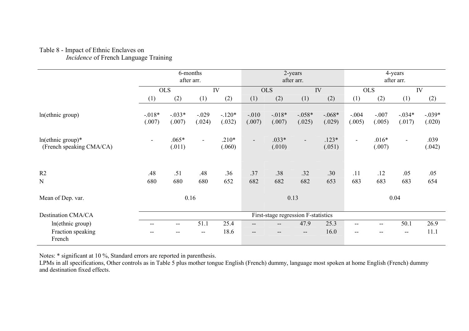#### Table 8 - Impact of Ethnic Enclaves on Incidence of French Language Training

|                                                 | 6-months<br>after arr.   |                          |                   |                   | 2-years<br>after arr. |                    |                                     |                    | 4-years<br>after arr.    |                   |                          |                    |
|-------------------------------------------------|--------------------------|--------------------------|-------------------|-------------------|-----------------------|--------------------|-------------------------------------|--------------------|--------------------------|-------------------|--------------------------|--------------------|
|                                                 | <b>OLS</b>               |                          |                   | IV                | <b>OLS</b>            |                    | IV                                  |                    |                          | <b>OLS</b><br>IV  |                          |                    |
|                                                 | (1)                      | (2)                      | (1)               | (2)               | (1)                   | (2)                | (1)                                 | (2)                | (1)                      | (2)               | (1)                      | (2)                |
| ln(ethnic group)                                | $-0.018*$<br>(.007)      | $-.033*$<br>(.007)       | $-.029$<br>(.024) | $-120*$<br>(.032) | $-.010$<br>(.007)     | $-.018*$<br>(.007) | $-.058*$<br>(.025)                  | $-.068*$<br>(.029) | $-.004$<br>(.005)        | $-.007$<br>(.005) | $-.034*$<br>(.017)       | $-.039*$<br>(.020) |
| $ln(ethnic group)*$<br>(French speaking CMA/CA) |                          | $.065*$<br>(.011)        | $\blacksquare$    | $.210*$<br>(.060) | $\sim$                | $.033*$<br>(.010)  | $\overline{\phantom{a}}$            | $.123*$<br>(.051)  | $\blacksquare$           | $.016*$<br>(.007) | $\blacksquare$           | .039<br>(.042)     |
| R <sub>2</sub>                                  | .48                      | .51                      | .48               | .36               | .37                   | .38                | .32                                 | .30                | .11                      | .12               | .05                      | .05                |
| N                                               | 680                      | 680                      | 680               | 652               | 682                   | 682                | 682                                 | 653                | 683                      | 683               | 683                      | 654                |
| Mean of Dep. var.                               | 0.16                     |                          |                   | 0.13              |                       |                    |                                     | 0.04               |                          |                   |                          |                    |
| <b>Destination CMA/CA</b>                       |                          |                          |                   |                   |                       |                    | First-stage regression F-statistics |                    |                          |                   |                          |                    |
| ln(ethnic group)                                | $\overline{\phantom{m}}$ | $\overline{\phantom{m}}$ | 51.1              | 25.4              | $\qquad \qquad -$     | $\qquad \qquad -$  | 47.9                                | 25.3               | $\overline{\phantom{m}}$ | --                | 50.1                     | 26.9               |
| Fraction speaking<br>French                     |                          |                          | --                | 18.6              | --                    |                    | --                                  | 16.0               | --                       |                   | $\overline{\phantom{a}}$ | 11.1               |

Notes: \* significant at 10 %, Standard errors are reported in parenthesis.<br>LPMs in all specifications, Other controls as in Table 5 plus mother tongue English (French) dummy, language most spoken at home English (French) d and destination fixed effects.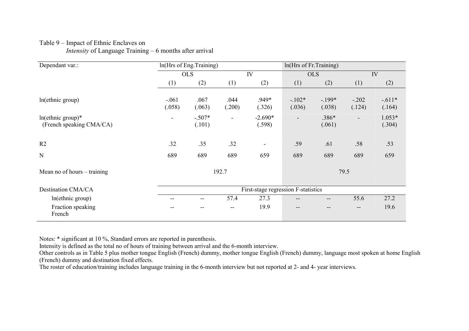| Dependant var.:                               |                          | ln(Hrs of Eng.Training) |                          |                                     | In(Hrs of Fr.Training) |                   |                          |                    |
|-----------------------------------------------|--------------------------|-------------------------|--------------------------|-------------------------------------|------------------------|-------------------|--------------------------|--------------------|
|                                               |                          | <b>OLS</b>              |                          | IV                                  |                        | <b>OLS</b>        |                          | IV                 |
|                                               | (1)                      | (2)                     | (1)                      | (2)                                 | (1)                    | (2)               | (1)                      | (2)                |
| ln(ethnic group)                              | $-.061$<br>(.058)        | .067<br>(.063)          | .044<br>(.200)           | .949*<br>(.326)                     | $-102*$<br>(.036)      | $-199*$<br>(.038) | $-.202$<br>(.124)        | $-.611*$<br>(.164) |
| ln(ethnic group)*<br>(French speaking CMA/CA) | $\overline{\phantom{0}}$ | $-.507*$<br>(.101)      | $\overline{\phantom{a}}$ | $-2.690*$<br>(.598)                 | Ξ.                     | .386*<br>(.061)   | $\overline{\phantom{a}}$ | $1.053*$<br>(.304) |
| R <sub>2</sub>                                | .32                      | .35                     | .32                      |                                     | .59                    | .61               | .58                      | .53                |
| $\mathbf N$                                   | 689                      | 689                     | 689                      | 659                                 | 689                    | 689               | 689                      | 659                |
| Mean no of hours – training                   |                          |                         | 192.7                    |                                     |                        |                   | 79.5                     |                    |
| <b>Destination CMA/CA</b>                     |                          |                         |                          | First-stage regression F-statistics |                        |                   |                          |                    |
| ln(ethnic group)                              | $-$                      | --                      | 57.4                     | 27.3                                |                        | --                | 55.6                     | 27.2               |
| Fraction speaking<br>French                   |                          |                         | $- -$                    | 19.9                                |                        |                   | $\overline{\phantom{m}}$ | 19.6               |

### Table 9 – Impact of Ethnic Enclaves on *Intensity* of Language Training  $-6$  months after arrival

Notes: \* significant at 10 %, Standard errors are reported in parenthesis.

Intensity is defined as the total no of hours of training between arrival and the 6-month interview.

Other controls as in Table 5 plus mother tongue English (French) dummy, mother tongue English (French) dummy, language most spoken at home English (French) dummy and destination fixed effects.

The roster of education/training includes language training in the 6-month interview but not reported at 2- and 4- year interviews.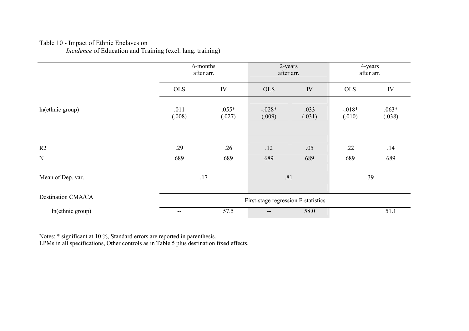Table 10 - Impact of Ethnic Enclaves on<br>*Incidence* of Education and Training (excl. lang. training)

|                           |                          | 6-months<br>after arr. | 2-years<br>after arr.               |                | 4-years<br>after arr. |                   |  |
|---------------------------|--------------------------|------------------------|-------------------------------------|----------------|-----------------------|-------------------|--|
|                           | <b>OLS</b>               | IV                     | <b>OLS</b>                          | IV             | <b>OLS</b>            | IV                |  |
| ln(ethnic group)          | .011<br>(.008)           | $.055*$<br>(.027)      | $-.028*$<br>(.009)                  | .033<br>(.031) | $-0.018*$<br>(.010)   | $.063*$<br>(.038) |  |
| R <sub>2</sub>            | .29                      | .26                    | .12                                 | .05            | .22                   | .14               |  |
| $\mathbf N$               | 689                      | 689                    | 689                                 | 689            | 689                   | 689               |  |
| Mean of Dep. var.         | .17                      |                        | .81                                 |                | .39                   |                   |  |
| <b>Destination CMA/CA</b> |                          |                        | First-stage regression F-statistics |                |                       |                   |  |
| ln(ethnic group)          | $\overline{\phantom{a}}$ | 57.5                   | $\qquad \qquad -$                   | 58.0           |                       | 51.1              |  |

Notes: \* significant at 10 %, Standard errors are reported in parenthesis.<br>LPMs in all specifications, Other controls as in Table 5 plus destination fixed effects.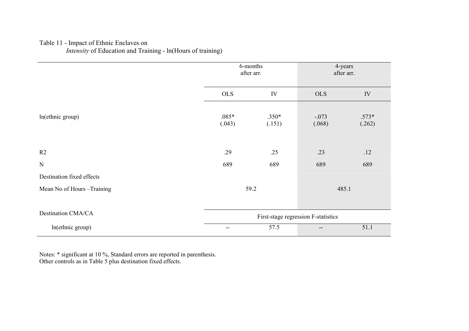# Table 11 - Impact of Ethnic Enclaves on<br>*Intensity* of Education and Training - ln(Hours of training)

|                            |                                     | 6-months<br>after arr. | 4-years<br>after arr. |                   |  |
|----------------------------|-------------------------------------|------------------------|-----------------------|-------------------|--|
|                            | <b>OLS</b>                          | IV                     | <b>OLS</b>            | IV                |  |
| ln(ethnic group)           | $.085*$<br>(.043)                   | $.350*$<br>(.151)      | $-.073$<br>(.068)     | $.573*$<br>(.262) |  |
| R2                         | .29                                 | .25                    | .23                   | .12               |  |
| $\mathbf N$                | 689                                 | 689                    | 689                   | 689               |  |
| Destination fixed effects  |                                     |                        |                       |                   |  |
| Mean No of Hours -Training |                                     | 59.2                   | 485.1                 |                   |  |
| Destination CMA/CA         | First-stage regression F-statistics |                        |                       |                   |  |
| ln(ethnic group)           | $-\, -$                             | 57.5                   | --                    | 51.1              |  |

Notes: \* significant at 10 %, Standard errors are reported in parenthesis.<br>Other controls as in Table 5 plus destination fixed effects.